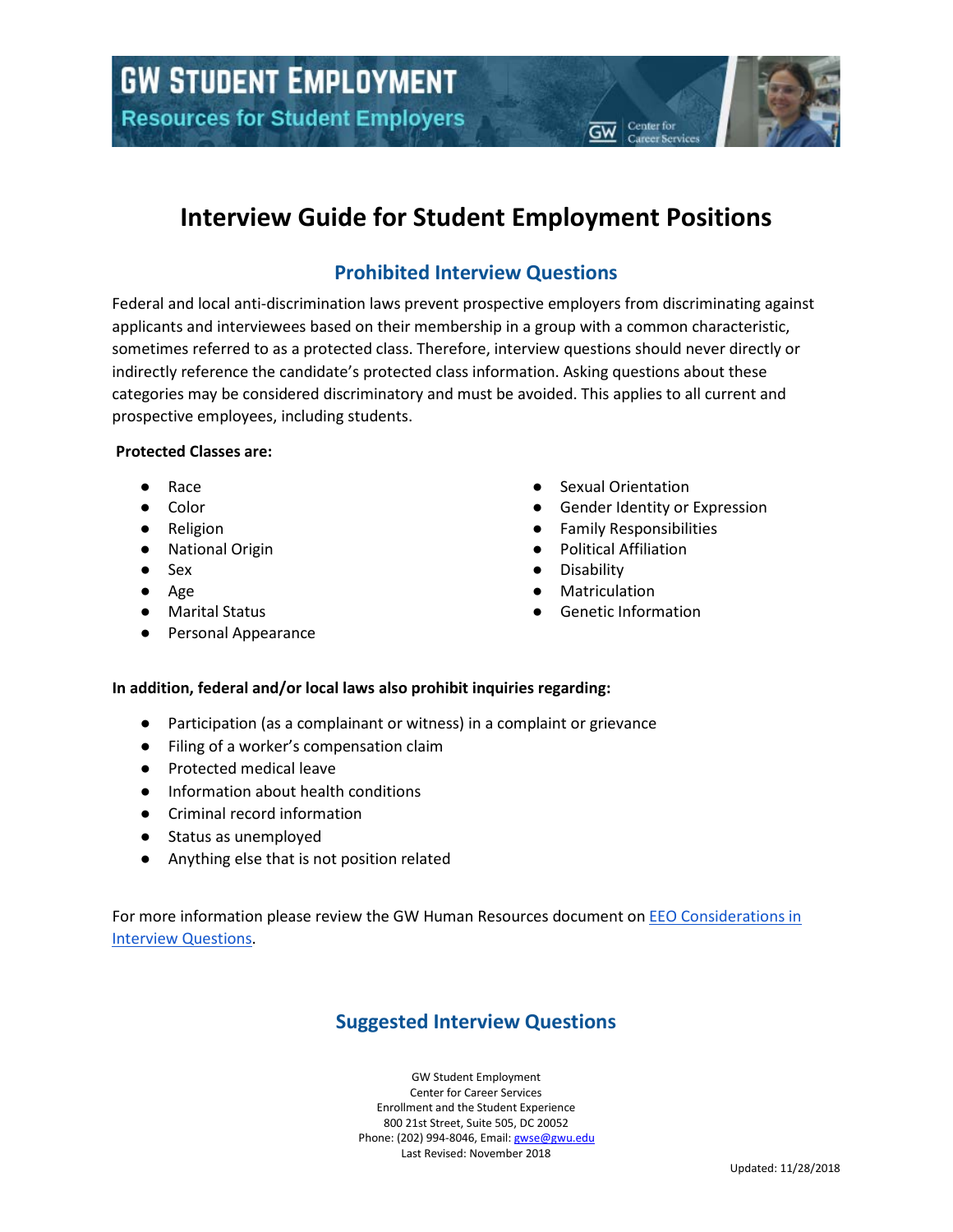# **Interview Guide for Student Employment Positions**

## **Prohibited Interview Questions**

Federal and local anti-discrimination laws prevent prospective employers from discriminating against applicants and interviewees based on their membership in a group with a common characteristic, sometimes referred to as a protected class. Therefore, interview questions should never directly or indirectly reference the candidate's protected class information. Asking questions about these categories may be considered discriminatory and must be avoided. This applies to all current and prospective employees, including students.

#### **Protected Classes are:**

- **Race**
- Color
- Religion
- National Origin
- Sex
- Age
- Marital Status
- Personal Appearance
- Sexual Orientation
- Gender Identity or Expression

Center for

- **Family Responsibilities**
- **Political Affiliation**
- **Disability**
- Matriculation
- **Genetic Information**

### **In addition, federal and/or local laws also prohibit inquiries regarding:**

- Participation (as a complainant or witness) in a complaint or grievance
- Filing of a worker's compensation claim
- Protected medical leave
- Information about health conditions
- Criminal record information
- Status as unemployed
- Anything else that is not position related

For more information please review the GW Human Resources document on [EEO Considerations in](https://hr.gwu.edu/sites/g/files/zaxdzs1666/f/downloads/Managers_Toolkit/EEO%20Considerations%20in%20Interview%20Questions.pdf)  [Interview Questions.](https://hr.gwu.edu/sites/g/files/zaxdzs1666/f/downloads/Managers_Toolkit/EEO%20Considerations%20in%20Interview%20Questions.pdf)

## **Suggested Interview Questions**

GW Student Employment Center for Career Services Enrollment and the Student Experience 800 21st Street, Suite 505, DC 20052 Phone: (202) 994-8046, Email[: gwse@gwu.edu](mailto:gwse@gwu.edu) Last Revised: November 2018